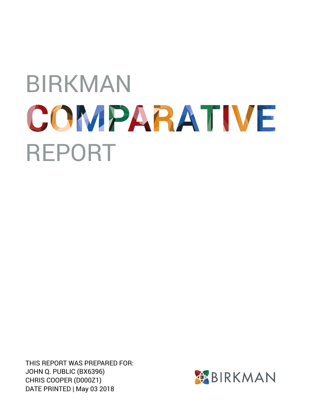THIS REPORT WAS PREPARED FOR: JOHN Q. PUBLIC (BX6396) CHRIS COOPER (D000Z1) DATE PRINTED | May 03 2018

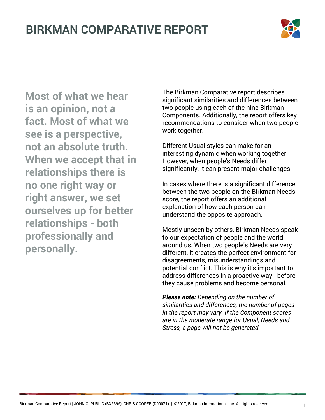

**Most of what we hear is an opinion, not a fact. Most of what we see is a perspective, not an absolute truth. When we accept that in relationships there is no one right way or right answer, we set ourselves up for better relationships - both professionally and personally.**

The Birkman Comparative report describes significant similarities and differences between two people using each of the nine Birkman Components. Additionally, the report offers key recommendations to consider when two people work together.

Different Usual styles can make for an interesting dynamic when working together. However, when people's Needs differ significantly, it can present major challenges.

In cases where there is a significant difference between the two people on the Birkman Needs score, the report offers an additional explanation of how each person can understand the opposite approach.

Mostly unseen by others, Birkman Needs speak to our expectation of people and the world around us. When two people's Needs are very different, it creates the perfect environment for disagreements, misunderstandings and potential conflict. This is why it's important to address differences in a proactive way - before they cause problems and become personal.

*Please note: Depending on the number of similarities and differences, the number of pages in the report may vary. If the Component scores are in the moderate range for Usual, Needs and Stress, a page will not be generated.*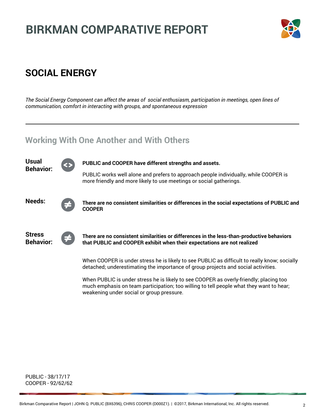

### **SOCIAL ENERGY**

*The Social Energy Component can affect the areas of social enthusiasm, participation in meetings, open lines of communication, comfort in interacting with groups, and spontaneous expression*

#### **Working With One Another and With Others**



PUBLIC - 38/17/17 COOPER - 92/62/62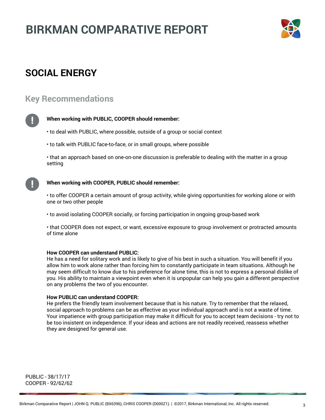

### **SOCIAL ENERGY**

#### **Key Recommendations**



#### **When working with PUBLIC, COOPER should remember:**

- to deal with PUBLIC, where possible, outside of a group or social context
- to talk with PUBLIC face-to-face, or in small groups, where possible

• that an approach based on one-on-one discussion is preferable to dealing with the matter in a group setting



#### **When working with COOPER, PUBLIC should remember:**

• to offer COOPER a certain amount of group activity, while giving opportunities for working alone or with one or two other people

• to avoid isolating COOPER socially, or forcing participation in ongoing group-based work

• that COOPER does not expect, or want, excessive exposure to group involvement or protracted amounts of time alone

#### **How COOPER can understand PUBLIC:**

He has a need for solitary work and is likely to give of his best in such a situation. You will benefit if you allow him to work alone rather than forcing him to constantly participate in team situations. Although he may seem difficult to know due to his preference for alone time, this is not to express a personal dislike of you. His ability to maintain a viewpoint even when it is unpopular can help you gain a different perspective on any problems the two of you encounter.

#### **How PUBLIC can understand COOPER:**

He prefers the friendly team involvement because that is his nature. Try to remember that the relaxed, social approach to problems can be as effective as your individual approach and is not a waste of time. Your impatience with group participation may make it difficult for you to accept team decisions - try not to be too insistent on independence. If your ideas and actions are not readily received, reassess whether they are designed for general use.

PUBLIC - 38/17/17 COOPER - 92/62/62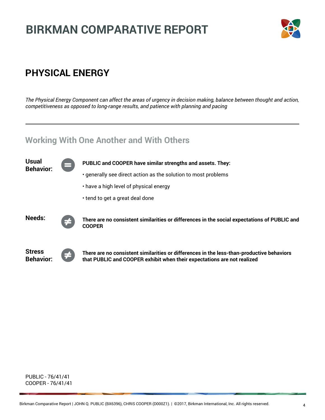

### **PHYSICAL ENERGY**

*The Physical Energy Component can affect the areas of urgency in decision making, balance between thought and action, competitiveness as opposed to long-range results, and patience with planning and pacing*

#### **Working With One Another and With Others**



PUBLIC - 76/41/41 COOPER - 76/41/41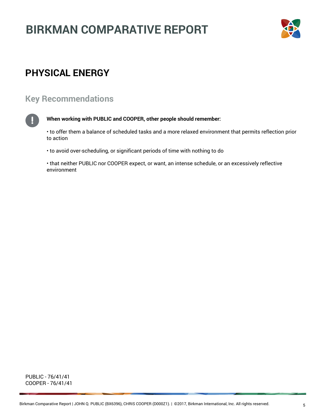

### **PHYSICAL ENERGY**

#### **Key Recommendations**

#### **When working with PUBLIC and COOPER, other people should remember:**

• to offer them a balance of scheduled tasks and a more relaxed environment that permits reflection prior to action

• to avoid over-scheduling, or significant periods of time with nothing to do

• that neither PUBLIC nor COOPER expect, or want, an intense schedule, or an excessively reflective environment

PUBLIC - 76/41/41 COOPER - 76/41/41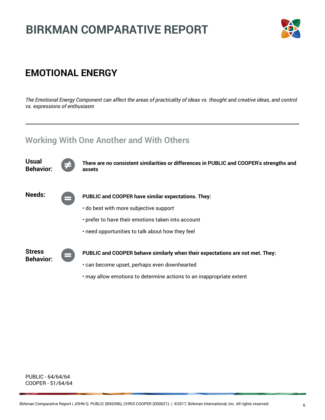

### **EMOTIONAL ENERGY**

*The Emotional Energy Component can affect the areas of practicality of ideas vs. thought and creative ideas, and control vs. expressions of enthusiasm*

#### **Working With One Another and With Others**



PUBLIC - 64/64/64 COOPER - 51/64/64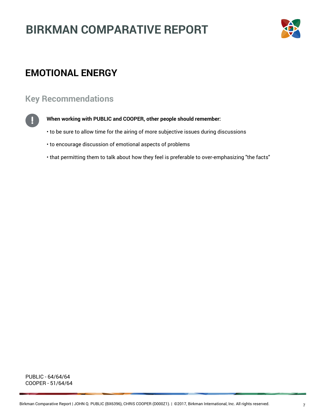

### **EMOTIONAL ENERGY**

#### **Key Recommendations**



#### **When working with PUBLIC and COOPER, other people should remember:**

- to be sure to allow time for the airing of more subjective issues during discussions
- to encourage discussion of emotional aspects of problems
- that permitting them to talk about how they feel is preferable to over-emphasizing "the facts"

PUBLIC - 64/64/64 COOPER - 51/64/64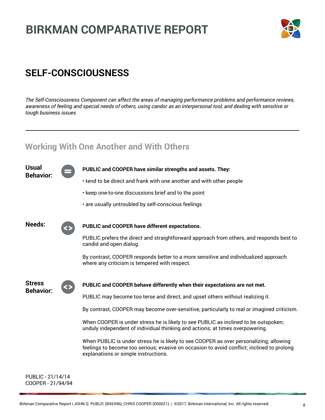

### **SELF-CONSCIOUSNESS**

*The Self-Consciousness Component can affect the areas of managing performance problems and performance reviews, awareness of feeling and special needs of others, using candor as an interpersonal tool, and dealing with sensitive or tough business issues*

#### **Working With One Another and With Others**

| <b>Usual</b><br><b>Behavior:</b>  |  | PUBLIC and COOPER have similar strengths and assets. They:                                                                                                                                                                   |
|-----------------------------------|--|------------------------------------------------------------------------------------------------------------------------------------------------------------------------------------------------------------------------------|
|                                   |  | • tend to be direct and frank with one another and with other people                                                                                                                                                         |
|                                   |  | . keep one-to-one discussions brief and to the point                                                                                                                                                                         |
|                                   |  | . are usually untroubled by self-conscious feelings                                                                                                                                                                          |
| <b>Needs:</b>                     |  | PUBLIC and COOPER have different expectations.                                                                                                                                                                               |
|                                   |  | PUBLIC prefers the direct and straightforward approach from others, and responds best to<br>candid and open dialog.                                                                                                          |
|                                   |  | By contrast, COOPER responds better to a more sensitive and individualized approach<br>where any criticism is tempered with respect.                                                                                         |
| <b>Stress</b><br><b>Behavior:</b> |  | PUBLIC and COOPER behave differently when their expectations are not met.                                                                                                                                                    |
|                                   |  | PUBLIC may become too terse and direct, and upset others without realizing it.                                                                                                                                               |
|                                   |  | By contrast, COOPER may become over-sensitive, particularly to real or imagined criticism.                                                                                                                                   |
|                                   |  | When COOPER is under stress he is likely to see PUBLIC as inclined to be outspoken;<br>unduly independent of individual thinking and actions; at times overpowering.                                                         |
|                                   |  | When PUBLIC is under stress he is likely to see COOPER as over personalizing; allowing<br>feelings to become too serious; evasive on occasion to avoid conflict; inclined to prolong<br>explanations or simple instructions. |
| PUBLIC - 21/14/14                 |  |                                                                                                                                                                                                                              |

COOPER - 21/94/94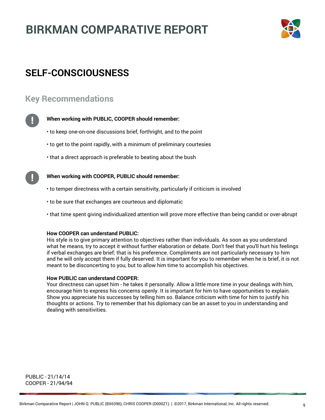

### **SELF-CONSCIOUSNESS**

#### **Key Recommendations**



#### **When working with PUBLIC, COOPER should remember:**

- to keep one-on-one discussions brief, forthright, and to the point
- to get to the point rapidly, with a minimum of preliminary courtesies
- that a direct approach is preferable to beating about the bush

#### **When working with COOPER, PUBLIC should remember:**

- to temper directness with a certain sensitivity, particularly if criticism is involved
- to be sure that exchanges are courteous and diplomatic
- that time spent giving individualized attention will prove more effective than being candid or over-abrupt

#### **How COOPER can understand PUBLIC:**

His style is to give primary attention to objectives rather than individuals. As soon as you understand what he means, try to accept it without further elaboration or debate. Don't feel that you'll hurt his feelings if verbal exchanges are brief; that is his preference. Compliments are not particularly necessary to him and he will only accept them if fully deserved. It is important for you to remember when he is brief, it is not meant to be disconcerting to you, but to allow him time to accomplish his objectives.

#### **How PUBLIC can understand COOPER:**

Your directness can upset him - he takes it personally. Allow a little more time in your dealings with him, encourage him to express his concerns openly. It is important for him to have opportunities to explain. Show you appreciate his successes by telling him so. Balance criticism with time for him to justify his thoughts or actions. Try to remember that his diplomacy can be an asset to you in understanding and dealing with sensitivities.

PUBLIC - 21/14/14 COOPER - 21/94/94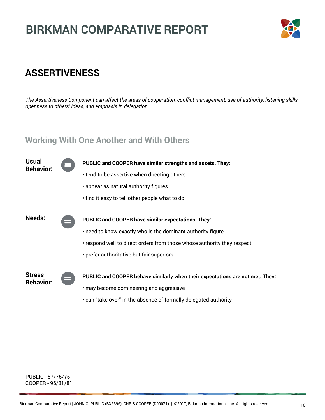

### **ASSERTIVENESS**

*The Assertiveness Component can affect the areas of cooperation, conflict management, use of authority, listening skills, openness to others' ideas, and emphasis in delegation*

#### **Working With One Another and With Others**



PUBLIC - 87/75/75 COOPER - 96/81/81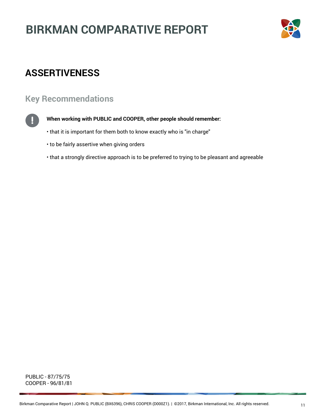

### **ASSERTIVENESS**

#### **Key Recommendations**



#### **When working with PUBLIC and COOPER, other people should remember:**

- that it is important for them both to know exactly who is "in charge"
- to be fairly assertive when giving orders
- that a strongly directive approach is to be preferred to trying to be pleasant and agreeable

PUBLIC - 87/75/75 COOPER - 96/81/81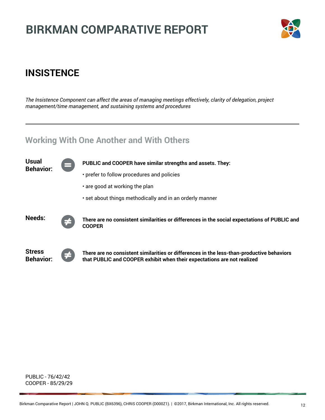

### **INSISTENCE**

*The Insistence Component can affect the areas of managing meetings effectively, clarity of delegation, project management/time management, and sustaining systems and procedures*

#### **Working With One Another and With Others**



PUBLIC - 76/42/42 COOPER - 85/29/29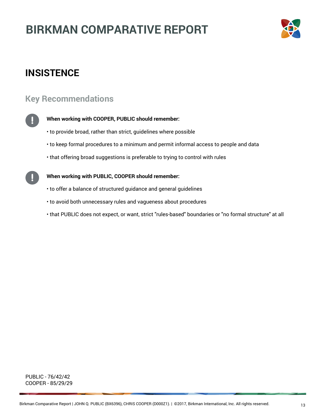

### **INSISTENCE**

#### **Key Recommendations**



#### **When working with COOPER, PUBLIC should remember:**

- to provide broad, rather than strict, guidelines where possible
- to keep formal procedures to a minimum and permit informal access to people and data
- that offering broad suggestions is preferable to trying to control with rules

#### **When working with PUBLIC, COOPER should remember:**

- to offer a balance of structured guidance and general guidelines
- to avoid both unnecessary rules and vagueness about procedures
- that PUBLIC does not expect, or want, strict "rules-based" boundaries or "no formal structure" at all

PUBLIC - 76/42/42 COOPER - 85/29/29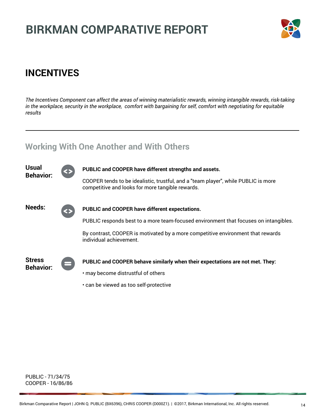

### **INCENTIVES**

*The Incentives Component can affect the areas of winning materialistic rewards, winning intangible rewards, risk-taking in the workplace, security in the workplace, comfort with bargaining for self, comfort with negotiating for equitable results*

#### **Working With One Another and With Others**



PUBLIC - 71/34/75 COOPER - 16/86/86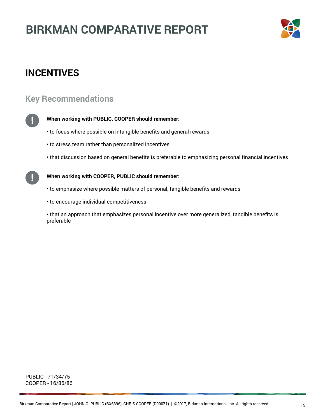

### **INCENTIVES**

#### **Key Recommendations**



#### **When working with PUBLIC, COOPER should remember:**

- to focus where possible on intangible benefits and general rewards
- to stress team rather than personalized incentives
- that discussion based on general benefits is preferable to emphasizing personal financial incentives

**When working with COOPER, PUBLIC should remember:**

- to emphasize where possible matters of personal, tangible benefits and rewards
- to encourage individual competitiveness

• that an approach that emphasizes personal incentive over more generalized, tangible benefits is preferable

PUBLIC - 71/34/75 COOPER - 16/86/86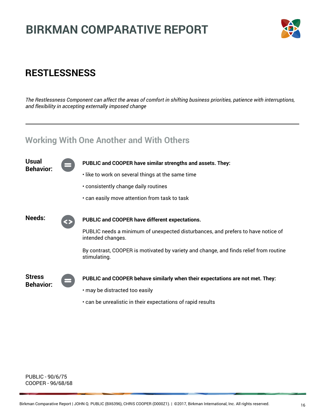

### **RESTLESSNESS**

*The Restlessness Component can affect the areas of comfort in shifting business priorities, patience with interruptions, and flexibility in accepting externally imposed change*

#### **Working With One Another and With Others**



PUBLIC - 90/6/75 COOPER - 96/68/68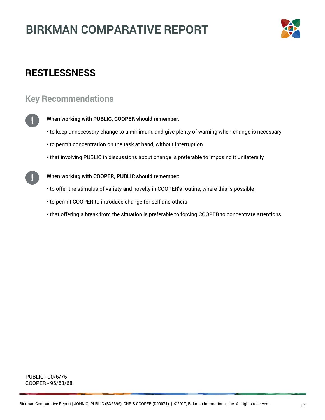

### **RESTLESSNESS**

#### **Key Recommendations**



#### **When working with PUBLIC, COOPER should remember:**

- to keep unnecessary change to a minimum, and give plenty of warning when change is necessary
- to permit concentration on the task at hand, without interruption
- that involving PUBLIC in discussions about change is preferable to imposing it unilaterally

#### **When working with COOPER, PUBLIC should remember:**

- to offer the stimulus of variety and novelty in COOPER's routine, where this is possible
- to permit COOPER to introduce change for self and others
- that offering a break from the situation is preferable to forcing COOPER to concentrate attentions

PUBLIC - 90/6/75 COOPER - 96/68/68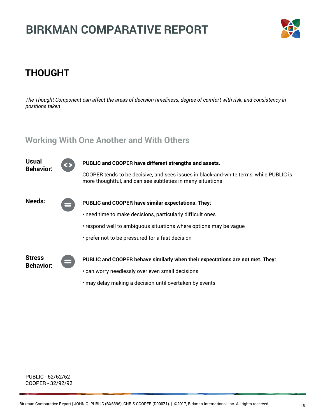

## **THOUGHT**

*The Thought Component can affect the areas of decision timeliness, degree of comfort with risk, and consistency in positions taken*

#### **Working With One Another and With Others**



PUBLIC - 62/62/62 COOPER - 32/92/92